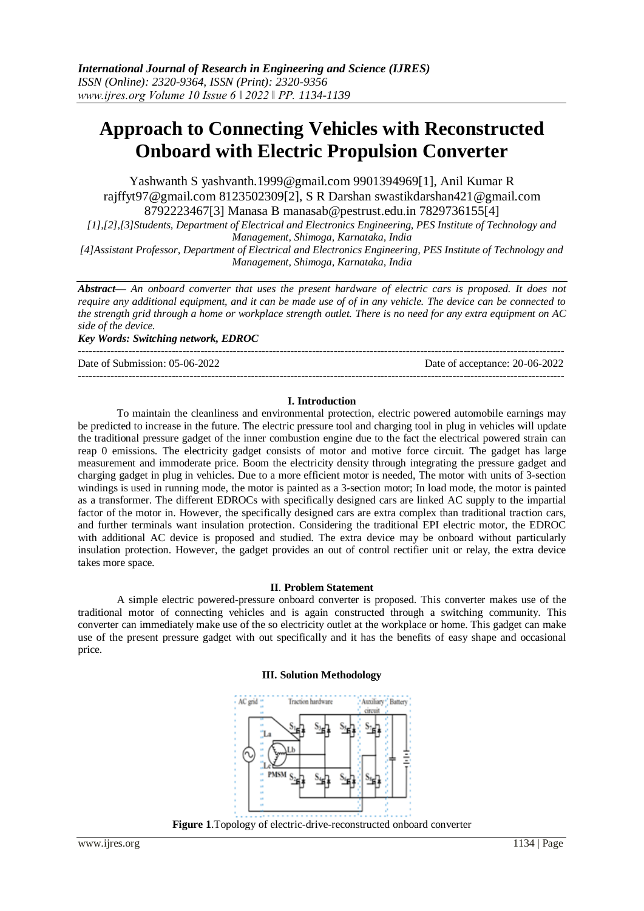# **Approach to Connecting Vehicles with Reconstructed Onboard with Electric Propulsion Converter**

Yashwanth S [yashvanth.1999@gmail.com](mailto:yashvanth.1999@gmail.com) 9901394969[1], Anil Kumar R [rajffyt97@gmail.com](mailto:rajffyt97@gmail.com) 8123502309[2], S R Darshan [swastikdarshan421@gmail.com](mailto:swastikdarshan421@gmail.com) 8792223467[3] Manasa B [manasab@pestrust.edu.in](mailto:manasab@pestrust.edu.in) 7829736155[4]

*[1],[2],[3]Students, Department of Electrical and Electronics Engineering, PES Institute of Technology and Management, Shimoga, Karnataka, India*

*[4]Assistant Professor, Department of Electrical and Electronics Engineering, PES Institute of Technology and Management, Shimoga, Karnataka, India*

*Abstract— An onboard converter that uses the present hardware of electric cars is proposed. It does not require any additional equipment, and it can be made use of of in any vehicle. The device can be connected to the strength grid through a home or workplace strength outlet. There is no need for any extra equipment on AC side of the device.*

*Key Words: Switching network, EDROC* 

--------------------------------------------------------------------------------------------------------------------------------------- ---------------------------------------------------------------------------------------------------------------------------------------

Date of Submission: 05-06-2022 Date of acceptance: 20-06-2022

#### **I. Introduction**

To maintain the cleanliness and environmental protection, electric powered automobile earnings may be predicted to increase in the future. The electric pressure tool and charging tool in plug in vehicles will update the traditional pressure gadget of the inner combustion engine due to the fact the electrical powered strain can reap 0 emissions. The electricity gadget consists of motor and motive force circuit. The gadget has large measurement and immoderate price. Boom the electricity density through integrating the pressure gadget and charging gadget in plug in vehicles. Due to a more efficient motor is needed, The motor with units of 3-section windings is used in running mode, the motor is painted as a 3-section motor; In load mode, the motor is painted as a transformer. The different EDROCs with specifically designed cars are linked AC supply to the impartial factor of the motor in. However, the specifically designed cars are extra complex than traditional traction cars, and further terminals want insulation protection. Considering the traditional EPI electric motor, the EDROC with additional AC device is proposed and studied. The extra device may be onboard without particularly insulation protection. However, the gadget provides an out of control rectifier unit or relay, the extra device takes more space.

### **II**. **Problem Statement**

A simple electric powered-pressure onboard converter is proposed. This converter makes use of the traditional motor of connecting vehicles and is again constructed through a switching community. This converter can immediately make use of the so electricity outlet at the workplace or home. This gadget can make use of the present pressure gadget with out specifically and it has the benefits of easy shape and occasional price.

#### **III. Solution Methodology**



**Figure 1**.Topology of electric-drive-reconstructed onboard converter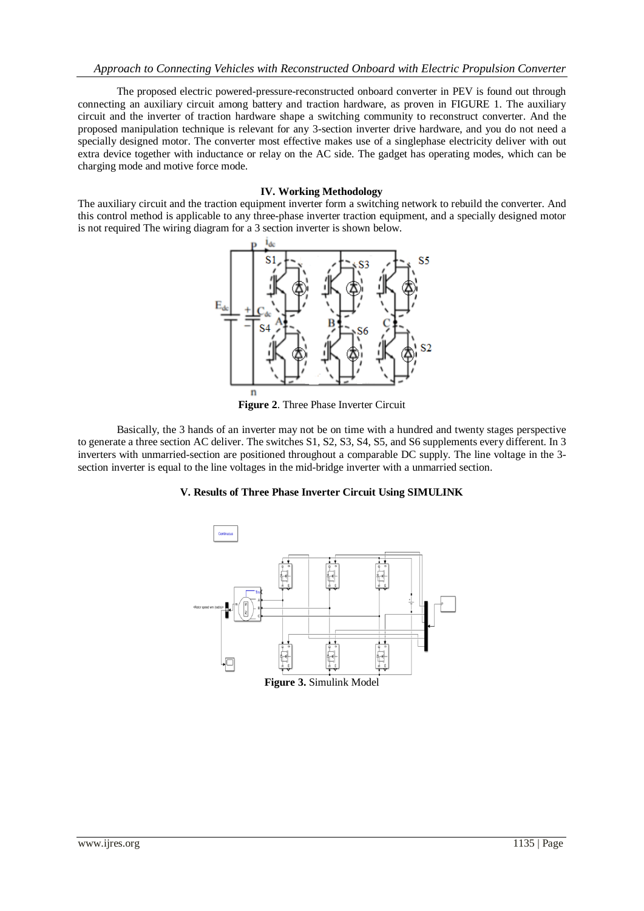The proposed electric powered-pressure-reconstructed onboard converter in PEV is found out through connecting an auxiliary circuit among battery and traction hardware, as proven in FIGURE 1. The auxiliary circuit and the inverter of traction hardware shape a switching community to reconstruct converter. And the proposed manipulation technique is relevant for any 3-section inverter drive hardware, and you do not need a specially designed motor. The converter most effective makes use of a singlephase electricity deliver with out extra device together with inductance or relay on the AC side. The gadget has operating modes, which can be charging mode and motive force mode.

#### **IV. Working Methodology**

The auxiliary circuit and the traction equipment inverter form a switching network to rebuild the converter. And this control method is applicable to any three-phase inverter traction equipment, and a specially designed motor is not required The wiring diagram for a 3 section inverter is shown below.



**Figure 2**. Three Phase Inverter Circuit

Basically, the 3 hands of an inverter may not be on time with a hundred and twenty stages perspective to generate a three section AC deliver. The switches S1, S2, S3, S4, S5, and S6 supplements every different. In 3 inverters with unmarried-section are positioned throughout a comparable DC supply. The line voltage in the 3 section inverter is equal to the line voltages in the mid-bridge inverter with a unmarried section.

## **V. Results of Three Phase Inverter Circuit Using SIMULINK**

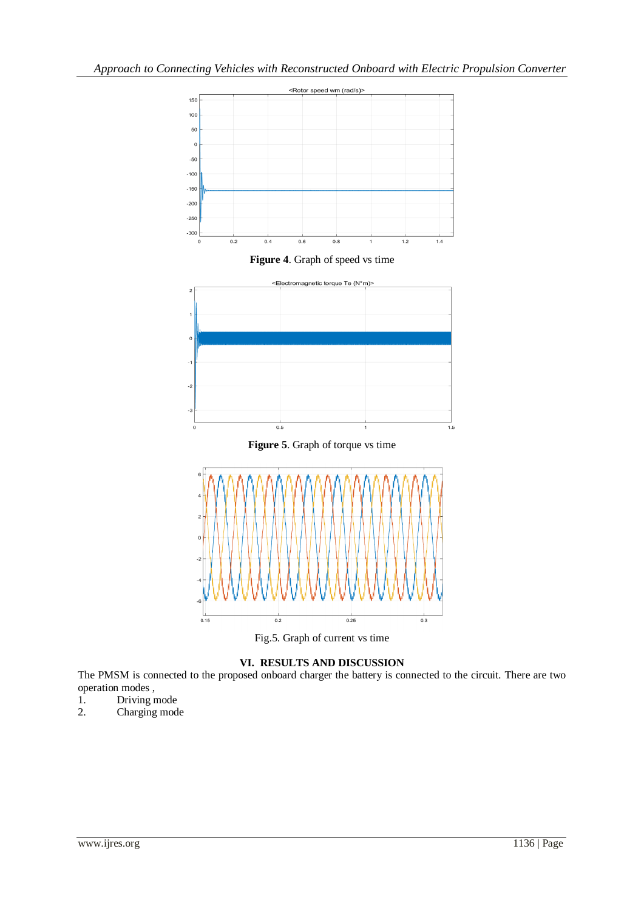

**Figure 4**. Graph of speed vs time









## **VI. RESULTS AND DISCUSSION**

The PMSM is connected to the proposed onboard charger the battery is connected to the circuit. There are two operation modes,<br>1. Driving n

- Driving mode
- 2. Charging mode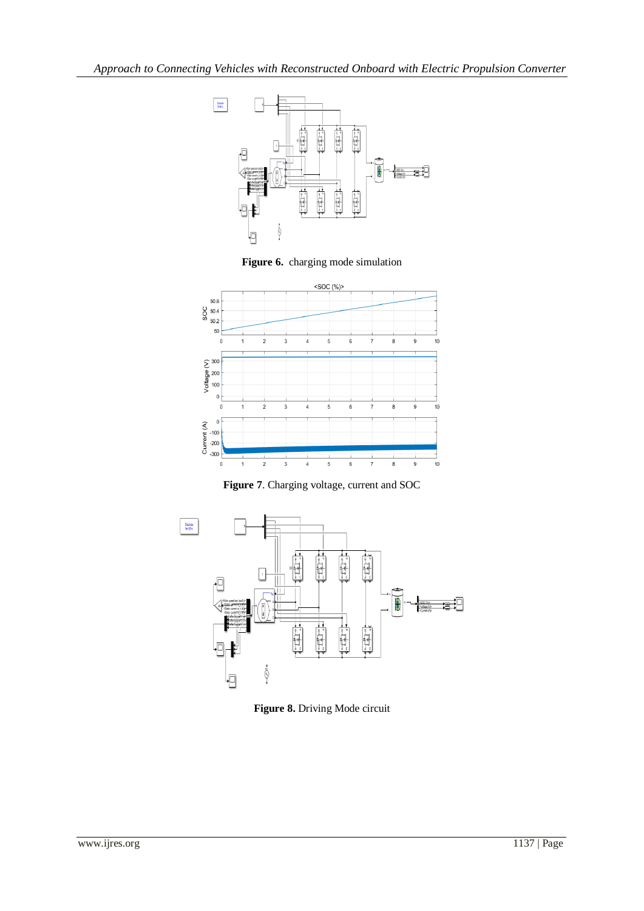





**Figure 7**. Charging voltage, current and SOC



**Figure 8.** Driving Mode circuit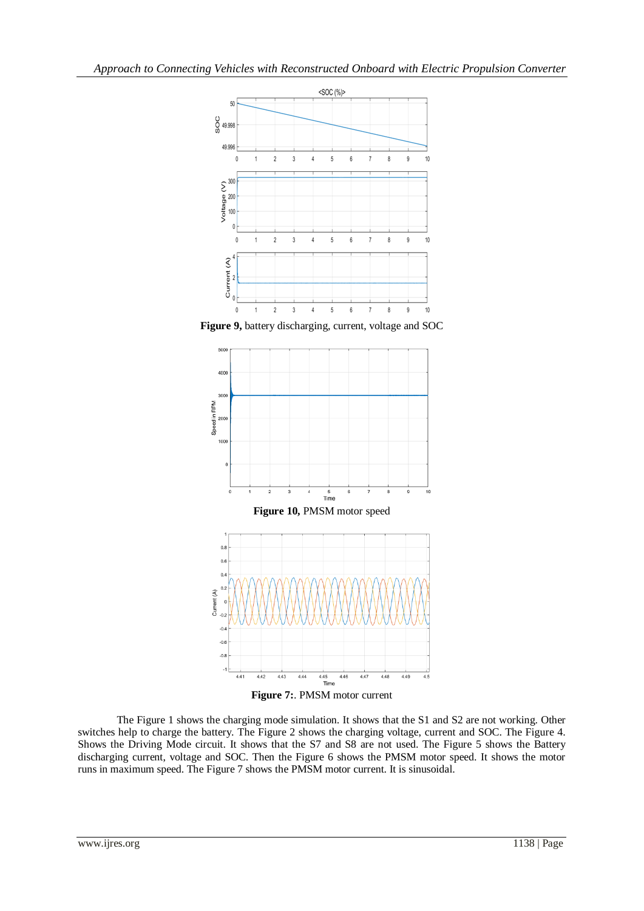

**Figure 9,** battery discharging, current, voltage and SOC



The Figure 1 shows the charging mode simulation. It shows that the S1 and S2 are not working. Other switches help to charge the battery. The Figure 2 shows the charging voltage, current and SOC. The Figure 4. Shows the Driving Mode circuit. It shows that the S7 and S8 are not used. The Figure 5 shows the Battery discharging current, voltage and SOC. Then the Figure 6 shows the PMSM motor speed. It shows the motor runs in maximum speed. The Figure 7 shows the PMSM motor current. It is sinusoidal.